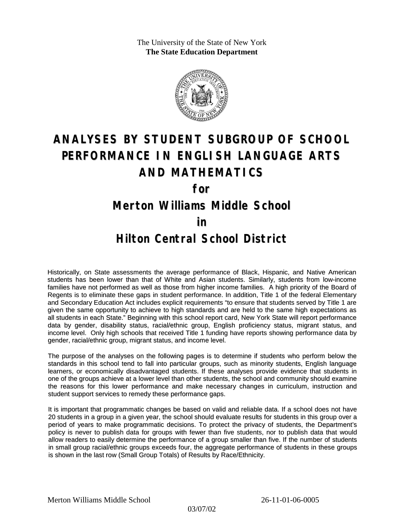The University of the State of New York **The State Education Department**



## **ANALYSES BY STUDENT SUBGROUP OF SCHOOL PERFORMANCE IN ENGLISH LANGUAGE ARTS AND MATHEMATICS**

**for**

**Merton Williams Middle School**

**in**

## **Hilton Central School District**

Historically, on State assessments the average performance of Black, Hispanic, and Native American students has been lower than that of White and Asian students. Similarly, students from low-income families have not performed as well as those from higher income families. A high priority of the Board of Regents is to eliminate these gaps in student performance. In addition, Title 1 of the federal Elementary and Secondary Education Act includes explicit requirements "to ensure that students served by Title 1 are given the same opportunity to achieve to high standards and are held to the same high expectations as all students in each State." Beginning with this school report card, New York State will report performance data by gender, disability status, racial/ethnic group, English proficiency status, migrant status, and income level. Only high schools that received Title 1 funding have reports showing performance data by gender, racial/ethnic group, migrant status, and income level.

The purpose of the analyses on the following pages is to determine if students who perform below the standards in this school tend to fall into particular groups, such as minority students, English language learners, or economically disadvantaged students. If these analyses provide evidence that students in one of the groups achieve at a lower level than other students, the school and community should examine the reasons for this lower performance and make necessary changes in curriculum, instruction and student support services to remedy these performance gaps.

It is important that programmatic changes be based on valid and reliable data. If a school does not have 20 students in a group in a given year, the school should evaluate results for students in this group over a period of years to make programmatic decisions. To protect the privacy of students, the Department's policy is never to publish data for groups with fewer than five students, nor to publish data that would allow readers to easily determine the performance of a group smaller than five. If the number of students in small group racial/ethnic groups exceeds four, the aggregate performance of students in these groups is shown in the last row (Small Group Totals) of Results by Race/Ethnicity.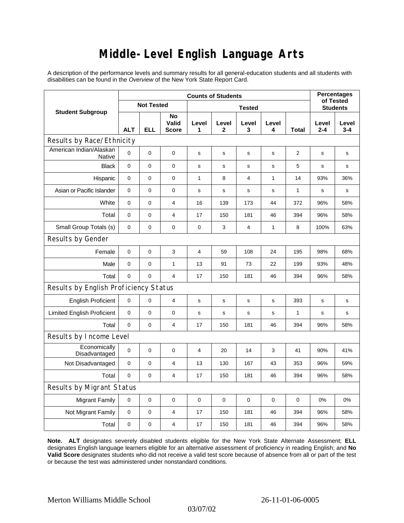## **Middle-Level English Language Arts**

A description of the performance levels and summary results for all general-education students and all students with disabilities can be found in the *Overview* of the New York State Report Card.

| <b>Student Subgroup</b>               | <b>Counts of Students</b> |             |                             |                |                       |                |             |              | <b>Percentages</b><br>of Tested |              |  |
|---------------------------------------|---------------------------|-------------|-----------------------------|----------------|-----------------------|----------------|-------------|--------------|---------------------------------|--------------|--|
|                                       | <b>Not Tested</b>         |             |                             | <b>Tested</b>  |                       |                |             |              | <b>Students</b>                 |              |  |
|                                       | <b>ALT</b>                | <b>ELL</b>  | No<br>Valid<br><b>Score</b> | Level<br>1     | Level<br>$\mathbf{2}$ | Level<br>3     | Level<br>4  | Total        | Level<br>$2 - 4$                | Level<br>3-4 |  |
| Results by Race/Ethnicity             |                           |             |                             |                |                       |                |             |              |                                 |              |  |
| American Indian/Alaskan<br>Native     | 0                         | $\mathbf 0$ | 0                           | $\mathbf s$    | s                     | s              | s           | 2            | s                               | s            |  |
| <b>Black</b>                          | $\mathbf{0}$              | 0           | $\mathbf 0$                 | s              | s                     | S              | $\mathbf s$ | 5            | S                               | s            |  |
| Hispanic                              | 0                         | $\pmb{0}$   | $\mathbf 0$                 | $\mathbf{1}$   | 8                     | $\overline{4}$ | 1           | 14           | 93%                             | 36%          |  |
| Asian or Pacific Islander             | $\mathbf 0$               | 0           | 0                           | $\mathbf s$    | $\mathbf s$           | $\mathsf{s}$   | s           | $\mathbf{1}$ | s                               | s            |  |
| White                                 | 0                         | 0           | $\overline{4}$              | 16             | 139                   | 173            | 44          | 372          | 96%                             | 58%          |  |
| Total                                 | $\pmb{0}$                 | $\pmb{0}$   | $\overline{4}$              | 17             | 150                   | 181            | 46          | 394          | 96%                             | 58%          |  |
| Small Group Totals (s)                | 0                         | 0           | 0                           | $\mathbf 0$    | 3                     | $\overline{4}$ | 1           | 8            | 100%                            | 63%          |  |
| Results by Gender                     |                           |             |                             |                |                       |                |             |              |                                 |              |  |
| Female                                | $\pmb{0}$                 | 0           | 3                           | $\overline{4}$ | 59                    | 108            | 24          | 195          | 98%                             | 68%          |  |
| Male                                  | 0                         | 0           | $\mathbf{1}$                | 13             | 91                    | 73             | 22          | 199          | 93%                             | 48%          |  |
| Total                                 | 0                         | 0           | 4                           | 17             | 150                   | 181            | 46          | 394          | 96%                             | 58%          |  |
| Results by English Proficiency Status |                           |             |                             |                |                       |                |             |              |                                 |              |  |
| <b>English Proficient</b>             | 0                         | 0           | $\overline{4}$              | s              | $\mathbf s$           | $\mathbf S$    | $\mathbf s$ | 393          | $\mathbf s$                     | s            |  |
| <b>Limited English Proficient</b>     | $\pmb{0}$                 | 0           | $\mathbf 0$                 | $\mathbf s$    | s                     | S              | $\mathbf s$ | 1            | S                               | s            |  |
| Total                                 | $\Omega$                  | $\pmb{0}$   | 4                           | 17             | 150                   | 181            | 46          | 394          | 96%                             | 58%          |  |
| Results by Income Level               |                           |             |                             |                |                       |                |             |              |                                 |              |  |
| Economically<br>Disadvantaged         | 0                         | 0           | $\mathbf 0$                 | $\overline{4}$ | 20                    | 14             | 3           | 41           | 90%                             | 41%          |  |
| Not Disadvantaged                     | 0                         | 0           | 4                           | 13             | 130                   | 167            | 43          | 353          | 96%                             | 59%          |  |
| Total                                 | $\mathbf 0$               | 0           | $\overline{4}$              | 17             | 150                   | 181            | 46          | 394          | 96%                             | 58%          |  |
| <b>Results by Migrant Status</b>      |                           |             |                             |                |                       |                |             |              |                                 |              |  |
| <b>Migrant Family</b>                 | 0                         | 0           | 0                           | $\mathbf 0$    | $\mathbf 0$           | $\mathbf 0$    | 0           | 0            | 0%                              | 0%           |  |
| Not Migrant Family                    | 0                         | 0           | 4                           | 17             | 150                   | 181            | 46          | 394          | 96%                             | 58%          |  |
| Total                                 | 0                         | 0           | 4                           | 17             | 150                   | 181            | 46          | 394          | 96%                             | 58%          |  |

**Note. ALT** designates severely disabled students eligible for the New York State Alternate Assessment; **ELL** designates English language learners eligible for an alternative assessment of proficiency in reading English; and **No Valid Score** designates students who did not receive a valid test score because of absence from all or part of the test or because the test was administered under nonstandard conditions.

03/07/02